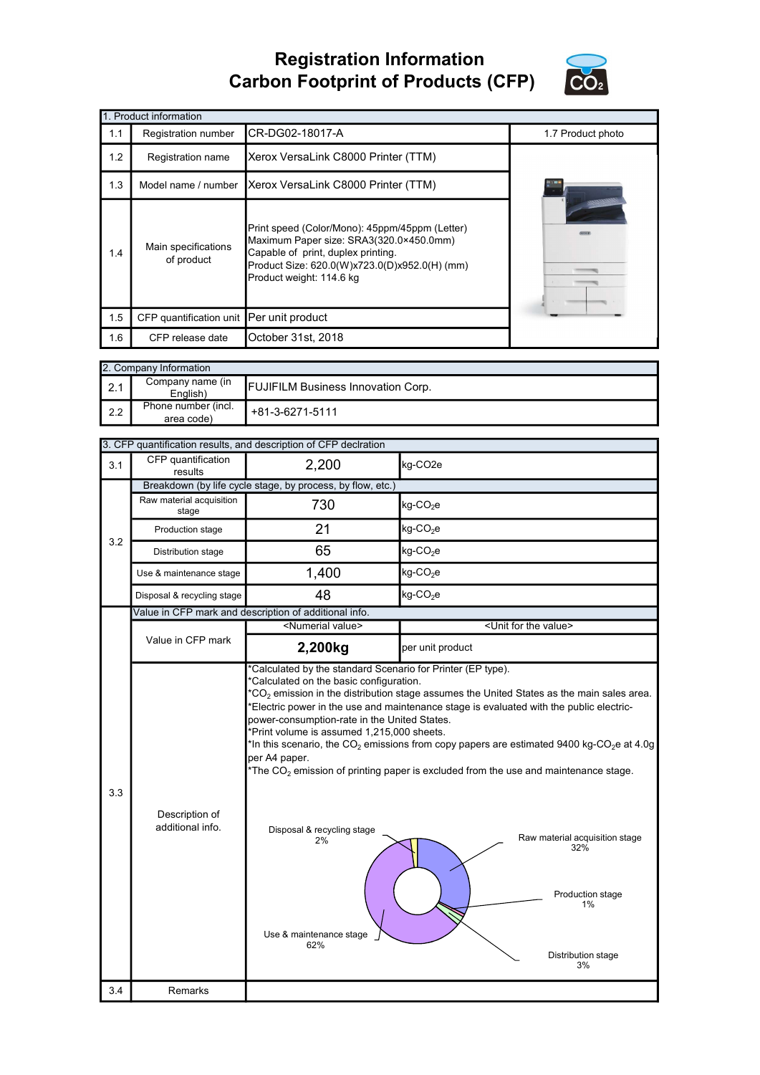## Registration Information Carbon Footprint of Products (CFP)



|     | 1. Product information                   |                                                                                                                                                                                                              |                   |  |  |  |
|-----|------------------------------------------|--------------------------------------------------------------------------------------------------------------------------------------------------------------------------------------------------------------|-------------------|--|--|--|
| 1.1 | Registration number                      | CR-DG02-18017-A                                                                                                                                                                                              | 1.7 Product photo |  |  |  |
| 1.2 | Registration name                        | Xerox VersaLink C8000 Printer (TTM)                                                                                                                                                                          |                   |  |  |  |
| 1.3 | Model name / number                      | Xerox VersaLink C8000 Printer (TTM)                                                                                                                                                                          |                   |  |  |  |
| 1.4 | Main specifications<br>of product        | Print speed (Color/Mono): 45ppm/45ppm (Letter)<br>Maximum Paper size: SRA3(320.0×450.0mm)<br>Capable of print, duplex printing.<br>Product Size: 620.0(W)x723.0(D)x952.0(H) (mm)<br>Product weight: 114.6 kg |                   |  |  |  |
| 1.5 | CFP quantification unit Per unit product |                                                                                                                                                                                                              |                   |  |  |  |
| 1.6 | CFP release date                         | October 31st, 2018                                                                                                                                                                                           |                   |  |  |  |

|     | 2. Company Information            |                                           |  |  |  |
|-----|-----------------------------------|-------------------------------------------|--|--|--|
| 2.1 | Company name (in<br>English)      | <b>FUJIFILM Business Innovation Corp.</b> |  |  |  |
| 2.2 | Phone number (incl.<br>area code) | +81-3-6271-5111                           |  |  |  |

|     |                                                       | 3. CFP quantification results, and description of CFP declration                                                                                                                  |                                                                                                                                                                                                                                                                                                                                                                                                                                                                                                              |  |
|-----|-------------------------------------------------------|-----------------------------------------------------------------------------------------------------------------------------------------------------------------------------------|--------------------------------------------------------------------------------------------------------------------------------------------------------------------------------------------------------------------------------------------------------------------------------------------------------------------------------------------------------------------------------------------------------------------------------------------------------------------------------------------------------------|--|
| 3.1 | CFP quantification<br>results                         | 2,200                                                                                                                                                                             | kg-CO <sub>2e</sub>                                                                                                                                                                                                                                                                                                                                                                                                                                                                                          |  |
| 3.2 |                                                       | Breakdown (by life cycle stage, by process, by flow, etc.)                                                                                                                        |                                                                                                                                                                                                                                                                                                                                                                                                                                                                                                              |  |
|     | Raw material acquisition<br>stage                     | 730                                                                                                                                                                               | $kg$ -CO <sub>2</sub> e                                                                                                                                                                                                                                                                                                                                                                                                                                                                                      |  |
|     | Production stage                                      | 21                                                                                                                                                                                | $kg$ -CO <sub>2</sub> e                                                                                                                                                                                                                                                                                                                                                                                                                                                                                      |  |
|     | Distribution stage                                    | 65                                                                                                                                                                                | $kg$ -CO <sub>2</sub> e                                                                                                                                                                                                                                                                                                                                                                                                                                                                                      |  |
|     | Use & maintenance stage                               | 1,400                                                                                                                                                                             | $kg$ -CO <sub>2</sub> e                                                                                                                                                                                                                                                                                                                                                                                                                                                                                      |  |
|     | Disposal & recycling stage                            | 48                                                                                                                                                                                | $kg$ -CO <sub>2</sub> e                                                                                                                                                                                                                                                                                                                                                                                                                                                                                      |  |
|     | Value in CFP mark and description of additional info. |                                                                                                                                                                                   |                                                                                                                                                                                                                                                                                                                                                                                                                                                                                                              |  |
|     |                                                       | <numerial value=""></numerial>                                                                                                                                                    | <unit for="" the="" value=""></unit>                                                                                                                                                                                                                                                                                                                                                                                                                                                                         |  |
|     | Value in CFP mark                                     | 2,200kg                                                                                                                                                                           | per unit product                                                                                                                                                                                                                                                                                                                                                                                                                                                                                             |  |
| 3.3 | Description of<br>additional info.                    | power-consumption-rate in the United States.<br>*Print volume is assumed 1,215,000 sheets.<br>per A4 paper.<br>Disposal & recycling stage<br>2%<br>Use & maintenance stage<br>62% | $^{\circ}CO_{2}$ emission in the distribution stage assumes the United States as the main sales area.<br>Electric power in the use and maintenance stage is evaluated with the public electric-<br>*In this scenario, the CO <sub>2</sub> emissions from copy papers are estimated 9400 kg-CO <sub>2</sub> e at 4.0g<br>*The $CO2$ emission of printing paper is excluded from the use and maintenance stage.<br>Raw material acquisition stage<br>32%<br>Production stage<br>1%<br>Distribution stage<br>3% |  |
| 3.4 | Remarks                                               |                                                                                                                                                                                   |                                                                                                                                                                                                                                                                                                                                                                                                                                                                                                              |  |